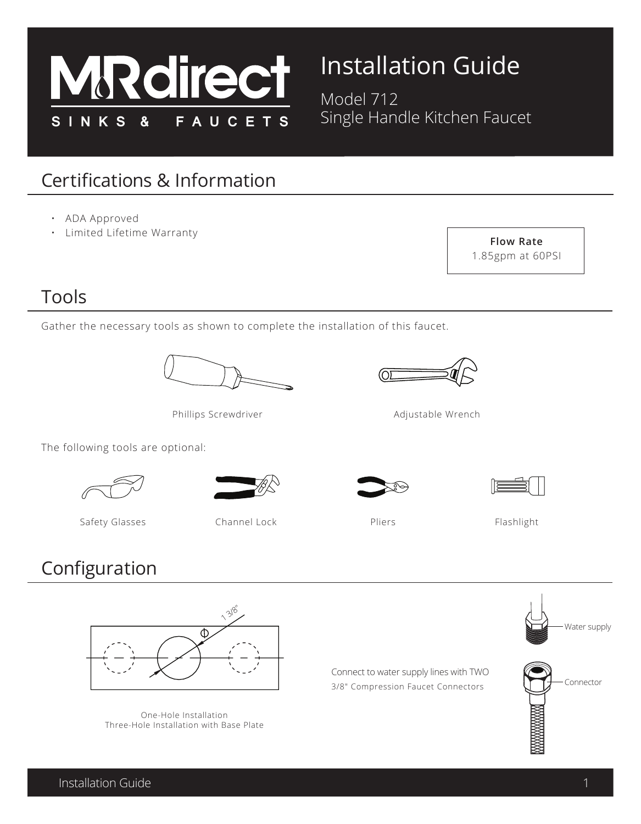

# Installation Guide

Model 712 Single Handle Kitchen Faucet

## Certifications & Information

- ADA Approved
- Limited Lifetime Warranty



#### Tools

Gather the necessary tools as shown to complete the installation of this faucet.



Phillips Screwdriver

The following tools are optional:





Safety Glasses Channel Lock

## Configuration



One-Hole Installation Three-Hole Installation with Base Plate

Connect to water supply lines with TWO 3/8" Compression Faucet Connectors











Adjustable Wrench



Flashlight

Pliers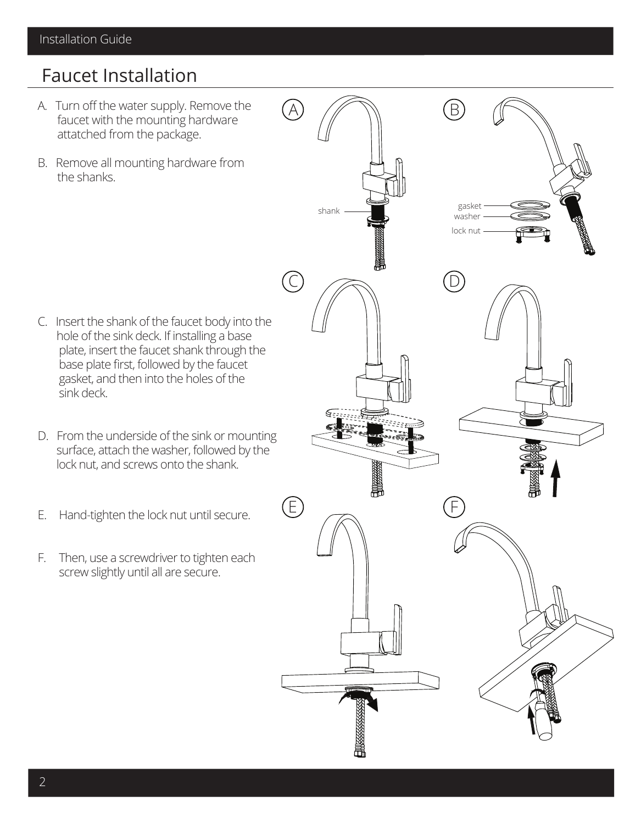#### Faucet Installation

- A. Turn off the water supply. Remove the faucet with the mounting hardware attatched from the package.
- B. Remove all mounting hardware from the shanks.

- C. Insert the shank of the faucet body into the hole of the sink deck. If installing a base plate, insert the faucet shank through the base plate first, followed by the faucet gasket, and then into the holes of the sink deck.
- D. From the underside of the sink or mounting surface, attach the washer, followed by the lock nut, and screws onto the shank.
- E. Hand-tighten the lock nut until secure.
- F. Then, use a screwdriver to tighten each screw slightly until all are secure.

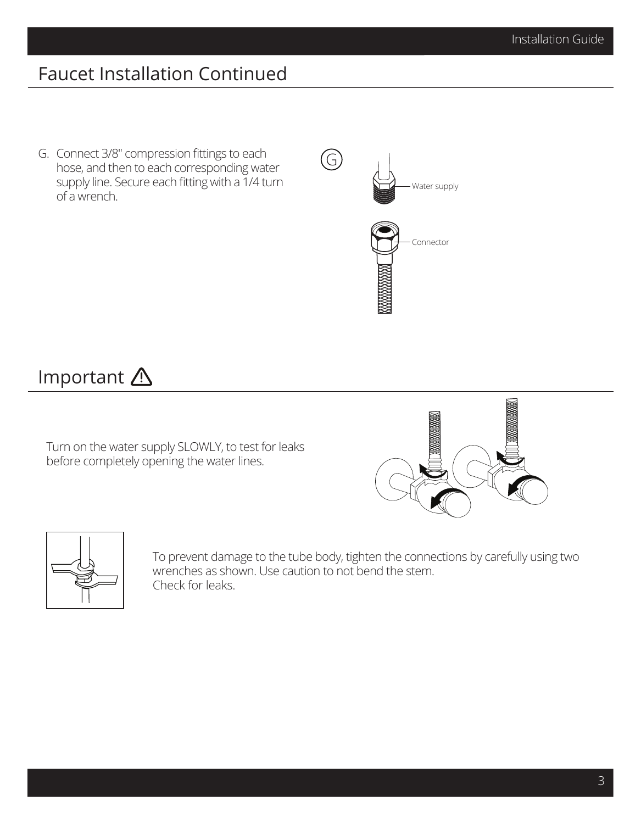## Faucet Installation Continued

G. Connect 3/8" compression fittings to each hose, and then to each corresponding water supply line. Secure each fitting with a 1/4 turn of a wrench.



#### Important A

Turn on the water supply SLOWLY, to test for leaks before completely opening the water lines.





To prevent damage to the tube body, tighten the connections by carefully using two wrenches as shown. Use caution to not bend the stem. Check for leaks.